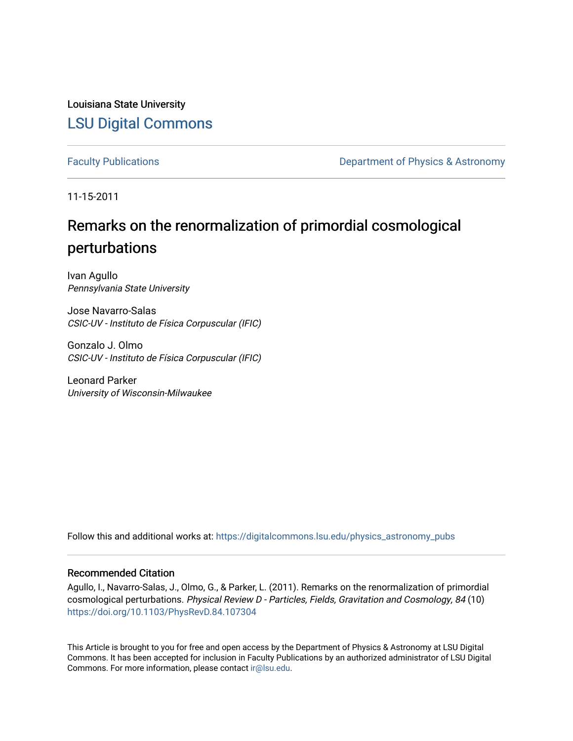Louisiana State University [LSU Digital Commons](https://digitalcommons.lsu.edu/)

[Faculty Publications](https://digitalcommons.lsu.edu/physics_astronomy_pubs) **Exercise 2 and Table 2 and Table 2 and Table 2 and Table 2 and Table 2 and Table 2 and Table 2 and Table 2 and Table 2 and Table 2 and Table 2 and Table 2 and Table 2 and Table 2 and Table 2 and Table** 

11-15-2011

### Remarks on the renormalization of primordial cosmological perturbations

Ivan Agullo Pennsylvania State University

Jose Navarro-Salas CSIC-UV - Instituto de Física Corpuscular (IFIC)

Gonzalo J. Olmo CSIC-UV - Instituto de Física Corpuscular (IFIC)

Leonard Parker University of Wisconsin-Milwaukee

Follow this and additional works at: [https://digitalcommons.lsu.edu/physics\\_astronomy\\_pubs](https://digitalcommons.lsu.edu/physics_astronomy_pubs?utm_source=digitalcommons.lsu.edu%2Fphysics_astronomy_pubs%2F182&utm_medium=PDF&utm_campaign=PDFCoverPages) 

### Recommended Citation

Agullo, I., Navarro-Salas, J., Olmo, G., & Parker, L. (2011). Remarks on the renormalization of primordial cosmological perturbations. Physical Review D - Particles, Fields, Gravitation and Cosmology, 84 (10) <https://doi.org/10.1103/PhysRevD.84.107304>

This Article is brought to you for free and open access by the Department of Physics & Astronomy at LSU Digital Commons. It has been accepted for inclusion in Faculty Publications by an authorized administrator of LSU Digital Commons. For more information, please contact [ir@lsu.edu](mailto:ir@lsu.edu).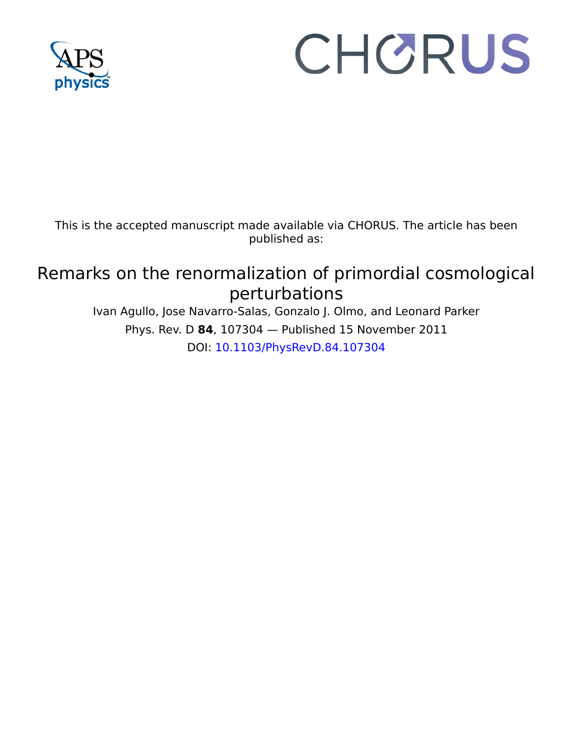

# CHORUS

This is the accepted manuscript made available via CHORUS. The article has been published as:

## Remarks on the renormalization of primordial cosmological perturbations

Ivan Agullo, Jose Navarro-Salas, Gonzalo J. Olmo, and Leonard Parker Phys. Rev. D **84**, 107304 — Published 15 November 2011 DOI: [10.1103/PhysRevD.84.107304](http://dx.doi.org/10.1103/PhysRevD.84.107304)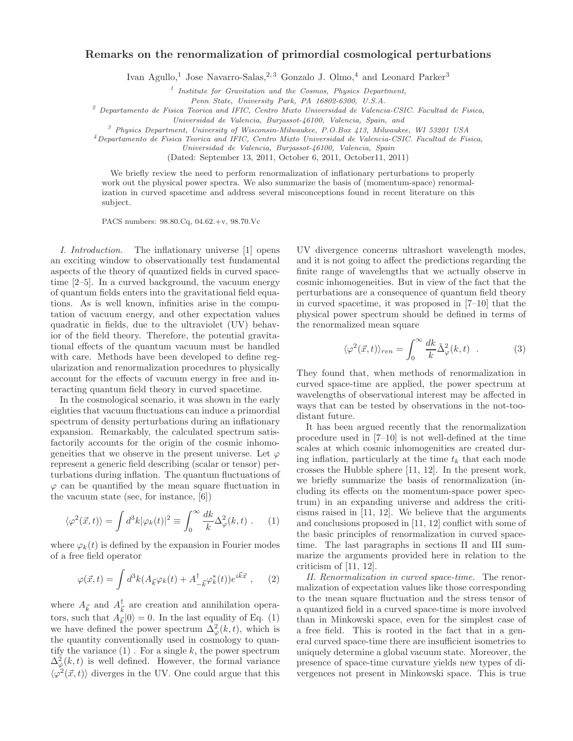#### Remarks on the renormalization of primordial cosmological perturbations

Ivan Agullo,<sup>1</sup> Jose Navarro-Salas,<sup>2,3</sup> Gonzalo J. Olmo,<sup>4</sup> and Leonard Parker<sup>3</sup>

<sup>1</sup> Institute for Gravitation and the Cosmos, Physics Department,

Penn State, University Park, PA 16802-6300, U.S.A.

 $2^{2}$  Departamento de Fisica Teorica and IFIC, Centro Mixto Universidad de Valencia-CSIC. Facultad de Fisica,

Universidad de Valencia, Burjassot-46100, Valencia, Spain, and

 $3$  Physics Department, University of Wisconsin-Milwaukee, P.O.Box 413, Milwaukee, WI 53201 USA

<sup>4</sup>Departamento de Fisica Teorica and IFIC, Centro Mixto Universidad de Valencia-CSIC. Facultad de Fisica,

Universidad de Valencia, Burjassot-46100, Valencia, Spain

(Dated: September 13, 2011, October 6, 2011, October11, 2011)

We briefly review the need to perform renormalization of inflationary perturbations to properly work out the physical power spectra. We also summarize the basis of (momentum-space) renormalization in curved spacetime and address several misconceptions found in recent literature on this subject.

PACS numbers: 98.80.Cq, 04.62.+v, 98.70.Vc

numbers: 98.80.<br>Cq, 04.62.+v, 98.70.Vc The inflationary universe [1] opens UV divergence concerns we to observationally test fundamental and it is not going to<br>nurved packing of duchs in curved space- finite range of wave I. Introduction. The inflationary universe [1] opens an exciting window to observationally test fundamental aspects of the theory of quantized fields in curved spacetime [2–5]. In a curved background, the vacuum energy of quantum fields enters into the gravitational field equations. As is well known, infinities arise in the computation of vacuum energy, and other expectation values quadratic in fields, due to the ultraviolet (UV) behavior of the field theory. Therefore, the potential gravitational effects of the quantum vacuum must be handled with care. Methods have been developed to define regularization and renormalization procedures to physically account for the effects of vacuum energy in free and interacting quantum field theory in curved spacetime.

In the cosmological scenario, it was shown in the early eighties that vacuum fluctuations can induce a primordial spectrum of density perturbations during an inflationary expansion. Remarkably, the calculated spectrum satisfactorily accounts for the origin of the cosmic inhomogeneities that we observe in the present universe. Let  $\varphi$ represent a generic field describing (scalar or tensor) perturbations during inflation. The quantum fluctuations of  $\varphi$  can be quantified by the mean square fluctuation in the vacuum state (see, for instance, [6])

$$
\langle \varphi^2(\vec{x},t) \rangle = \int d^3k |\varphi_k(t)|^2 \equiv \int_0^\infty \frac{dk}{k} \Delta_\varphi^2(k,t) \ . \tag{1}
$$

where  $\varphi_k(t)$  is defined by the expansion in Fourier modes of a free field operator

$$
\varphi(\vec{x},t) = \int d^3k (A_{\vec{k}} \varphi_k(t) + A_{-\vec{k}}^{\dagger} \varphi_k^*(t)) e^{i\vec{k}\vec{x}} , \quad (2)
$$

where  $A_{\vec{k}}$  and  $A_{\vec{k}}^{\dagger}$  $\frac{1}{k}$  are creation and annihilation operators, such that  $A_{\vec{k}}|0\rangle = 0$ . In the last equality of Eq. (1) we have defined the power spectrum  $\Delta^2_{\varphi}(k,t)$ , which is the quantity conventionally used in cosmology to quantify the variance  $(1)$ . For a single k, the power spectrum  $\Delta^2_{\varphi}(k,t)$  is well defined. However, the formal variance  $\langle \varphi^2(\vec{x},t) \rangle$  diverges in the UV. One could argue that this

UV divergence concerns ultrashort wavelength modes, and it is not going to affect the predictions regarding the finite range of wavelengths that we actually observe in cosmic inhomogeneities. But in view of the fact that the perturbations are a consequence of quantum field theory in curved spacetime, it was proposed in [7–10] that the physical power spectrum should be defined in terms of the renormalized mean square

$$
\langle \varphi^2(\vec{x},t) \rangle_{ren} = \int_0^\infty \frac{dk}{k} \tilde{\Delta}_\varphi^2(k,t) . \tag{3}
$$

They found that, when methods of renormalization in curved space-time are applied, the power spectrum at wavelengths of observational interest may be affected in ways that can be tested by observations in the not-toodistant future.

ization in curved spacetime and address several miscon<br>copitons found in recent literature on this scaling that<br>is subject. PACS wurthers: 98.80.Cn, 04.62.+v, 98.70.Vc<br>duction. The inflationary universe [1] operas UV dive It has been argued recently that the renormalization procedure used in [7–10] is not well-defined at the time scales at which cosmic inhomogenities are created during inflation, particularly at the time  $t_k$  that each mode crosses the Hubble sphere [11, 12]. In the present work, we briefly summarize the basis of renormalization (including its effects on the momentum-space power spectrum) in an expanding universe and address the criticisms raised in [11, 12]. We believe that the arguments and conclusions proposed in [11, 12] conflict with some of the basic principles of renormalization in curved spacetime. The last paragraphs in sections II and III summarize the arguments provided here in relation to the criticism of [11, 12].

II. Renormalization in curved space-time. The renormalization of expectation values like those corresponding to the mean square fluctuation and the stress tensor of a quantized field in a curved space-time is more involved than in Minkowski space, even for the simplest case of a free field. This is rooted in the fact that in a general curved space-time there are insufficient isometries to uniquely determine a global vacuum state. Moreover, the presence of space-time curvature yields new types of divergences not present in Minkowski space. This is true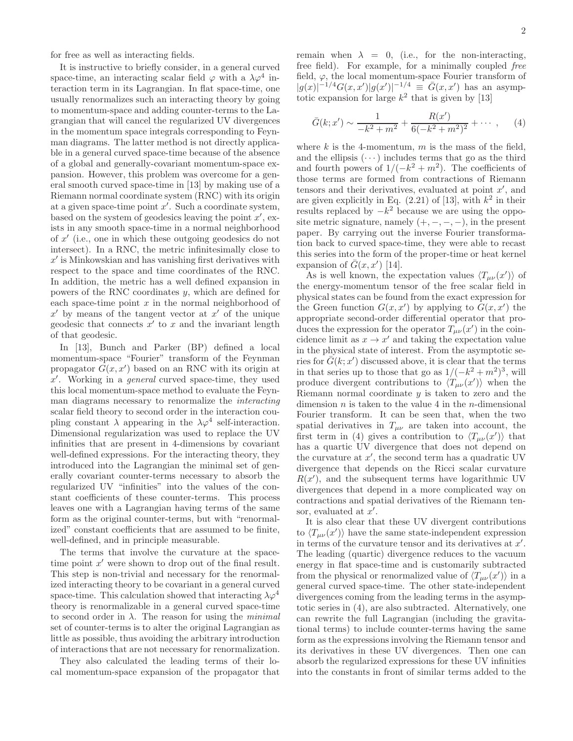for free as well as interacting fields.

It is instructive to briefly consider, in a general curved space-time, an interacting scalar field  $\varphi$  with a  $\lambda \varphi^4$  interaction term in its Lagrangian. In flat space-time, one usually renormalizes such an interacting theory by going to momentum-space and adding counter-terms to the Lagrangian that will cancel the regularized UV divergences in the momentum space integrals corresponding to Feynman diagrams. The latter method is not directly applicable in a general curved space-time because of the absence of a global and generally-covariant momentum-space expansion. However, this problem was overcome for a general smooth curved space-time in [13] by making use of a Riemann normal coordinate system (RNC) with its origin at a given space-time point  $x'$ . Such a coordinate system, based on the system of geodesics leaving the point  $x'$ , exists in any smooth space-time in a normal neighborhood of x ′ (i.e., one in which these outgoing geodesics do not intersect). In a RNC, the metric infinitesimally close to  $x'$  is Minkowskian and has vanishing first derivatives with respect to the space and time coordinates of the RNC. In addition, the metric has a well defined expansion in powers of the RNC coordinates y, which are defined for each space-time point  $x$  in the normal neighborhood of  $x'$  by means of the tangent vector at  $x'$  of the unique geodesic that connects  $x'$  to  $x$  and the invariant length of that geodesic.

In [13], Bunch and Parker (BP) defined a local momentum-space "Fourier" transform of the Feynman propagator  $G(x, x')$  based on an RNC with its origin at  $x'$ . Working in a *general* curved space-time, they used this local momentum-space method to evaluate the Feynman diagrams necessary to renormalize the interacting scalar field theory to second order in the interaction coupling constant  $\lambda$  appearing in the  $\lambda \varphi^4$  self-interaction. Dimensional regularization was used to replace the UV infinities that are present in 4-dimensions by covariant well-defined expressions. For the interacting theory, they introduced into the Lagrangian the minimal set of generally covariant counter-terms necessary to absorb the regularized UV "infinities" into the values of the constant coefficients of these counter-terms. This process leaves one with a Lagrangian having terms of the same form as the original counter-terms, but with "renormalized" constant coefficients that are assumed to be finite, well-defined, and in principle measurable.

The terms that involve the curvature at the spacetime point  $x'$  were shown to drop out of the final result. This step is non-trivial and necessary for the renormalized interacting theory to be covariant in a general curved space-time. This calculation showed that interacting  $\lambda \varphi^4$ theory is renormalizable in a general curved space-time to second order in  $\lambda$ . The reason for using the *minimal* set of counter-terms is to alter the original Lagrangian as little as possible, thus avoiding the arbitrary introduction of interactions that are not necessary for renormalization.

They also calculated the leading terms of their local momentum-space expansion of the propagator that remain when  $\lambda = 0$ , (i.e., for the non-interacting, free field). For example, for a minimally coupled free field,  $\varphi$ , the local momentum-space Fourier transform of  $|g(x)|^{-1/4} G(x,x') |g(x')|^{-1/4} \equiv \bar{G}(x,x')$  has an asymptotic expansion for large  $k^2$  that is given by [13]

$$
\bar{G}(k; x') \sim \frac{1}{-k^2 + m^2} + \frac{R(x')}{6(-k^2 + m^2)^2} + \cdots, \quad (4)
$$

where k is the 4-momentum,  $m$  is the mass of the field, and the ellipsis  $(\cdots)$  includes terms that go as the third and fourth powers of  $1/(-k^2 + m^2)$ . The coefficients of those terms are formed from contractions of Riemann tensors and their derivatives, evaluated at point  $x'$ , and are given explicitly in Eq.  $(2.21)$  of [13], with  $k^2$  in their results replaced by  $-k^2$  because we are using the opposite metric signature, namely  $(+, -, -, -)$ , in the present paper. By carrying out the inverse Fourier transformation back to curved space-time, they were able to recast this series into the form of the proper-time or heat kernel expansion of  $\bar{G}(x, x')$  [14].

As is well known, the expectation values  $\langle T_{\mu\nu}(x')\rangle$  of the energy-momentum tensor of the free scalar field in physical states can be found from the exact expression for the Green function  $G(x, x')$  by applying to  $G(x, x')$  the appropriate second-order differential operator that produces the expression for the operator  $T_{\mu\nu}(x')$  in the coincidence limit as  $x \to x'$  and taking the expectation value in the physical state of interest. From the asymptotic series for  $\overline{G}(k; x')$  discussed above, it is clear that the terms in that series up to those that go as  $1/(-k^2 + m^2)^3$ , will produce divergent contributions to  $\langle T_{\mu\nu}(x')\rangle$  when the Riemann normal coordinate  $y$  is taken to zero and the dimension  $n$  is taken to the value 4 in the *n*-dimensional Fourier transform. It can be seen that, when the two spatial derivatives in  $T_{\mu\nu}$  are taken into account, the first term in (4) gives a contribution to  $\langle T_{\mu\nu}(x')\rangle$  that has a quartic UV divergence that does not depend on the curvature at  $x'$ , the second term has a quadratic UV divergence that depends on the Ricci scalar curvature  $R(x')$ , and the subsequent terms have logarithmic UV divergences that depend in a more complicated way on contractions and spatial derivatives of the Riemann tensor, evaluated at  $x'$ .

It is also clear that these UV divergent contributions to  $\langle T_{\mu\nu}(x')\rangle$  have the same state-independent expression in terms of the curvature tensor and its derivatives at  $x'$ . The leading (quartic) divergence reduces to the vacuum energy in flat space-time and is customarily subtracted from the physical or renormalized value of  $\langle T_{\mu\nu}(x')\rangle$  in a general curved space-time. The other state-independent divergences coming from the leading terms in the asymptotic series in (4), are also subtracted. Alternatively, one can rewrite the full Lagrangian (including the gravitational terms) to include counter-terms having the same form as the expressions involving the Riemann tensor and its derivatives in these UV divergences. Then one can absorb the regularized expressions for these UV infinities into the constants in front of similar terms added to the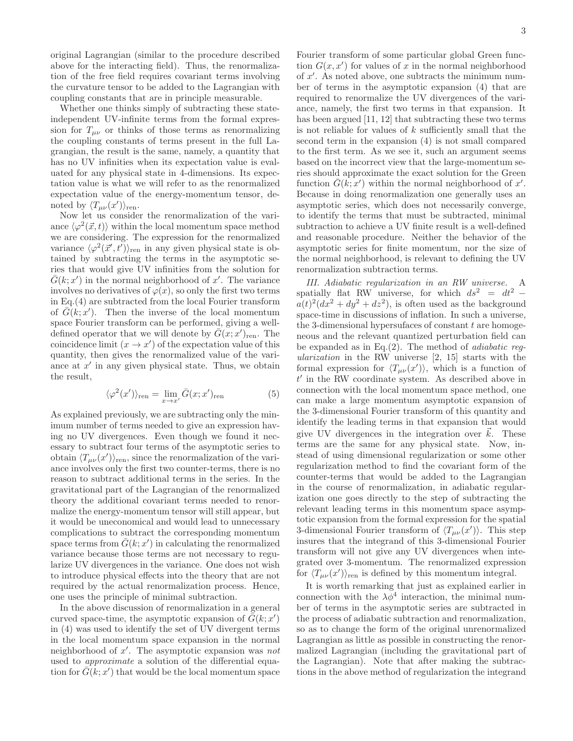original Lagrangian (similar to the procedure described above for the interacting field). Thus, the renormalization of the free field requires covariant terms involving the curvature tensor to be added to the Lagrangian with coupling constants that are in principle measurable.

Whether one thinks simply of subtracting these stateindependent UV-infinite terms from the formal expression for  $T_{\mu\nu}$  or thinks of those terms as renormalizing the coupling constants of terms present in the full Lagrangian, the result is the same, namely, a quantity that has no UV infinities when its expectation value is evaluated for any physical state in 4-dimensions. Its expectation value is what we will refer to as the renormalized expectation value of the energy-momentum tensor, denoted by  $\langle T_{\mu\nu}(x') \rangle_{\text{ren}}$ .

Now let us consider the renormalization of the variance  $\langle \varphi^2(\vec{x}, t) \rangle$  within the local momentum space method we are considering. The expression for the renormalized variance  $\langle \varphi^2(\vec{x}', t') \rangle_{\text{ren}}$  in any given physical state is obtained by subtracting the terms in the asymptotic series that would give UV infinities from the solution for  $\bar{G}(k; x')$  in the normal neighborhood of x'. The variance involves no derivatives of  $\varphi(x)$ , so only the first two terms in Eq.(4) are subtracted from the local Fourier transform of  $\overline{G}(k; x')$ . Then the inverse of the local momentum space Fourier transform can be performed, giving a welldefined operator that we will denote by  $\overline{G}(x; x')_{\text{ren}}$ . The coincidence limit  $(x \to x')$  of the expectation value of this quantity, then gives the renormalized value of the variance at  $x'$  in any given physical state. Thus, we obtain the result,

$$
\langle \varphi^2(x') \rangle_{\text{ren}} = \lim_{x \to x'} \bar{G}(x; x')_{\text{ren}} \tag{5}
$$

As explained previously, we are subtracting only the minimum number of terms needed to give an expression having no UV divergences. Even though we found it necessary to subtract four terms of the asymptotic series to obtain  $\langle T_{\mu\nu}(x')\rangle_{\text{ren}}$ , since the renormalization of the variance involves only the first two counter-terms, there is no reason to subtract additional terms in the series. In the gravitational part of the Lagrangian of the renormalized theory the additional covariant terms needed to renormalize the energy-momentum tensor will still appear, but it would be uneconomical and would lead to unnecessary complications to subtract the corresponding momentum space terms from  $\bar{G}(k; x')$  in calculating the renormalized variance because those terms are not necessary to regularize UV divergences in the variance. One does not wish to introduce physical effects into the theory that are not required by the actual renormalization process. Hence, one uses the principle of minimal subtraction.

In the above discussion of renormalization in a general curved space-time, the asymptotic expansion of  $\tilde{\vec{G}}(k; x')$ in (4) was used to identify the set of UV divergent terms in the local momentum space expansion in the normal neighborhood of x'. The asymptotic expansion was not used to approximate a solution of the differential equation for  $\overline{G}(k; x')$  that would be the local momentum space

Fourier transform of some particular global Green function  $G(x, x')$  for values of x in the normal neighborhood of  $x'$ . As noted above, one subtracts the minimum number of terms in the asymptotic expansion (4) that are required to renormalize the UV divergences of the variance, namely, the first two terms in that expansion. It has been argued [11, 12] that subtracting these two terms is not reliable for values of  $k$  sufficiently small that the second term in the expansion (4) is not small compared to the first term. As we see it, such an argument seems based on the incorrect view that the large-momentum series should approximate the exact solution for the Green function  $\bar{G}(k; x')$  within the normal neighborhood of x'. Because in doing renormalization one generally uses an asymptotic series, which does not necessarily converge, to identify the terms that must be subtracted, minimal subtraction to achieve a UV finite result is a well-defined and reasonable procedure. Neither the behavior of the asymptotic series for finite momentum, nor the size of the normal neighborhood, is relevant to defining the UV renormalization subtraction terms.

III. Adiabatic regularization in an RW universe. A spatially flat RW universe, for which  $ds^2 = dt^2$  –  $a(t)^2(dx^2+dy^2+dz^2)$ , is often used as the background space-time in discussions of inflation. In such a universe, the 3-dimensional hypersufaces of constant  $t$  are homogeneous and the relevant quantized perturbation field can be expanded as in Eq. $(2)$ . The method of *adiabatic reg*ularization in the RW universe [2, 15] starts with the formal expression for  $\langle T_{\mu\nu}(x')\rangle$ , which is a function of t ′ in the RW coordinate system. As described above in connection with the local momentum space method, one can make a large momentum asymptotic expansion of the 3-dimensional Fourier transform of this quantity and identify the leading terms in that expansion that would give UV divergences in the integration over  $\vec{k}$ . These terms are the same for any physical state. Now, instead of using dimensional regularization or some other regularization method to find the covariant form of the counter-terms that would be added to the Lagrangian in the course of renormalization, in adiabatic regularization one goes directly to the step of subtracting the relevant leading terms in this momentum space asymptotic expansion from the formal expression for the spatial 3-dimensional Fourier transform of  $\langle T_{\mu\nu}(x')\rangle$ . This step insures that the integrand of this 3-dimensional Fourier transform will not give any UV divergences when integrated over 3-momentum. The renormalized expression for  $\langle T_{\mu\nu}(x')\rangle_{\text{ren}}$  is defined by this momentum integral.

It is worth remarking that just as explained earlier in connection with the  $\lambda \phi^4$  interaction, the minimal number of terms in the asymptotic series are subtracted in the process of adiabatic subtraction and renormalization, so as to change the form of the original unrenormalized Lagrangian as little as possible in constructing the renormalized Lagrangian (including the gravitational part of the Lagrangian). Note that after making the subtractions in the above method of regularization the integrand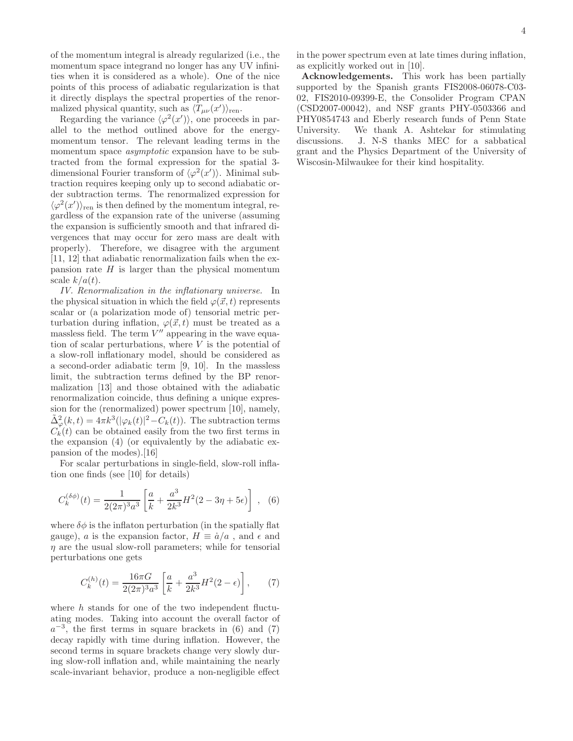of the momentum integral is already regularized (i.e., the momentum space integrand no longer has any UV infinities when it is considered as a whole). One of the nice points of this process of adiabatic regularization is that it directly displays the spectral properties of the renormalized physical quantity, such as  $\langle T_{\mu\nu}(x')\rangle_{\text{ren}}$ .

Regarding the variance  $\langle \varphi^2(x') \rangle$ , one proceeds in parallel to the method outlined above for the energymomentum tensor. The relevant leading terms in the momentum space asymptotic expansion have to be subtracted from the formal expression for the spatial 3 dimensional Fourier transform of  $\langle \varphi^2(x') \rangle$ . Minimal subtraction requires keeping only up to second adiabatic order subtraction terms. The renormalized expression for  $\langle \varphi^2(x') \rangle_{\text{ren}}$  is then defined by the momentum integral, regardless of the expansion rate of the universe (assuming the expansion is sufficiently smooth and that infrared divergences that may occur for zero mass are dealt with properly). Therefore, we disagree with the argument [11, 12] that adiabatic renormalization fails when the expansion rate  $H$  is larger than the physical momentum scale  $k/a(t)$ .

IV. Renormalization in the inflationary universe. In the physical situation in which the field  $\varphi(\vec{x}, t)$  represents scalar or (a polarization mode of) tensorial metric perturbation during inflation,  $\varphi(\vec{x}, t)$  must be treated as a massless field. The term  $V''$  appearing in the wave equation of scalar perturbations, where  $V$  is the potential of a slow-roll inflationary model, should be considered as a second-order adiabatic term [9, 10]. In the massless limit, the subtraction terms defined by the BP renormalization [13] and those obtained with the adiabatic renormalization coincide, thus defining a unique expression for the (renormalized) power spectrum [10], namely,  $\tilde{\Delta}_{\varphi}^2(k,t) = 4\pi k^3(|\varphi_k(t)|^2 - C_k(t)).$  The subtraction terms  $C_k(t)$  can be obtained easily from the two first terms in the expansion (4) (or equivalently by the adiabatic expansion of the modes).[16]

For scalar perturbations in single-field, slow-roll inflation one finds (see [10] for details)

$$
C_k^{(\delta\phi)}(t) = \frac{1}{2(2\pi)^3 a^3} \left[ \frac{a}{k} + \frac{a^3}{2k^3} H^2(2 - 3\eta + 5\epsilon) \right] , \tag{6}
$$

where  $\delta\phi$  is the inflaton perturbation (in the spatially flat gauge), a is the expansion factor,  $H \equiv \dot{a}/a$ , and  $\epsilon$  and  $\eta$  are the usual slow-roll parameters; while for tensorial perturbations one gets

$$
C_k^{(h)}(t) = \frac{16\pi G}{2(2\pi)^3 a^3} \left[ \frac{a}{k} + \frac{a^3}{2k^3} H^2(2 - \epsilon) \right],\tag{7}
$$

where  $h$  stands for one of the two independent fluctuating modes. Taking into account the overall factor of  $a^{-3}$ , the first terms in square brackets in (6) and (7) decay rapidly with time during inflation. However, the second terms in square brackets change very slowly during slow-roll inflation and, while maintaining the nearly scale-invariant behavior, produce a non-negligible effect

in the power spectrum even at late times during inflation, as explicitly worked out in [10].

Acknowledgements. This work has been partially supported by the Spanish grants FIS2008-06078-C03- 02, FIS2010-09399-E, the Consolider Program CPAN (CSD2007-00042), and NSF grants PHY-0503366 and PHY0854743 and Eberly research funds of Penn State University. We thank A. Ashtekar for stimulating discussions. J. N-S thanks MEC for a sabbatical grant and the Physics Department of the University of Wiscosin-Milwaukee for their kind hospitality.